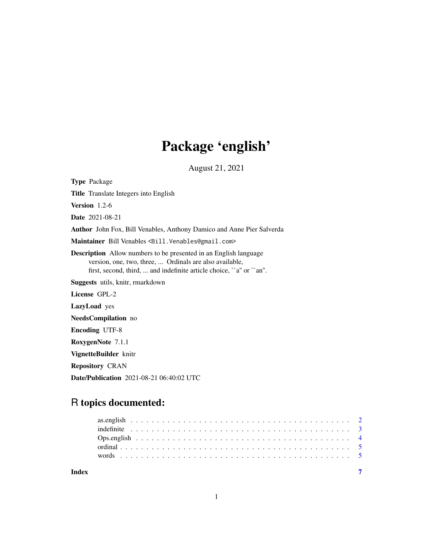## Package 'english'

August 21, 2021

Type Package

Title Translate Integers into English

Version 1.2-6

Date 2021-08-21

Author John Fox, Bill Venables, Anthony Damico and Anne Pier Salverda

Maintainer Bill Venables <Bill.Venables@gmail.com>

Description Allow numbers to be presented in an English language version, one, two, three, ... Ordinals are also available, first, second, third, ... and indefinite article choice, ``a'' or ``an''.

Suggests utils, knitr, rmarkdown

License GPL-2

LazyLoad yes

NeedsCompilation no

Encoding UTF-8

RoxygenNote 7.1.1

VignetteBuilder knitr

Repository CRAN

Date/Publication 2021-08-21 06:40:02 UTC

### R topics documented: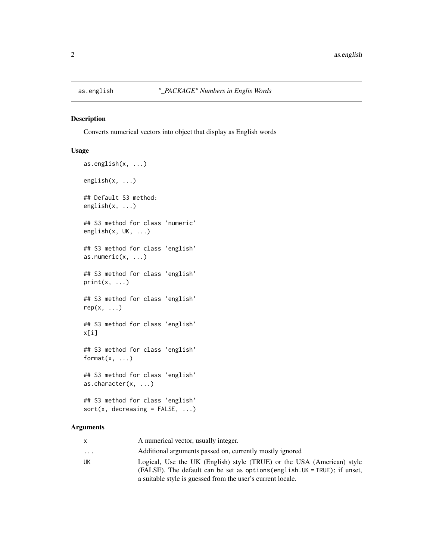<span id="page-1-0"></span>

#### Description

Converts numerical vectors into object that display as English words

#### Usage

```
as.english(x, ...)
english(x, \ldots)## Default S3 method:
english(x, ...)
## S3 method for class 'numeric'
english(x, UK, ...)
## S3 method for class 'english'
as.numeric(x, \ldots)## S3 method for class 'english'
print(x, \ldots)## S3 method for class 'english'
rep(x, \ldots)## S3 method for class 'english'
x[i]
## S3 method for class 'english'
format(x, \ldots)## S3 method for class 'english'
as.character(x, ...)
## S3 method for class 'english'
sort(x, decreasing = FALSE, ...)
```
#### Arguments

| X        | A numerical vector, usually integer.                                                                                                                                                                                |
|----------|---------------------------------------------------------------------------------------------------------------------------------------------------------------------------------------------------------------------|
| $\cdots$ | Additional arguments passed on, currently mostly ignored                                                                                                                                                            |
| UK       | Logical, Use the UK (English) style (TRUE) or the USA (American) style<br>(FALSE). The default can be set as options (english. UK = TRUE); if unset,<br>a suitable style is guessed from the user's current locale. |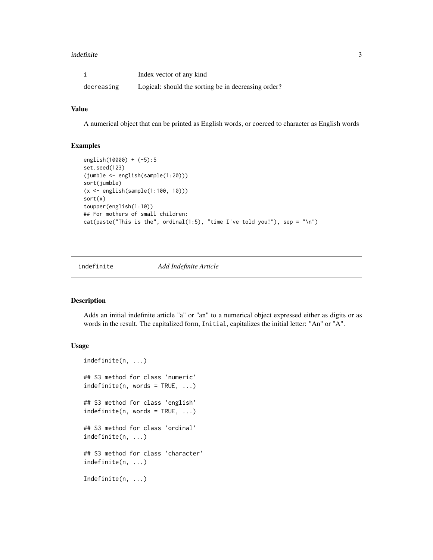#### <span id="page-2-0"></span>indefinite 3

|            | Index vector of any kind                            |
|------------|-----------------------------------------------------|
| decreasing | Logical: should the sorting be in decreasing order? |

#### Value

A numerical object that can be printed as English words, or coerced to character as English words

#### Examples

```
english(10000) + (-5):5
set.seed(123)
(jumble <- english(sample(1:20)))
sort(jumble)
(x <- english(sample(1:100, 10)))
sort(x)
toupper(english(1:10))
## For mothers of small children:
cat(paste("This is the", ordinal(1:5), "time I've told you!"), sep = "\\n")
```
indefinite *Add Indefinite Article*

#### Description

Adds an initial indefinite article "a" or "an" to a numerical object expressed either as digits or as words in the result. The capitalized form, Initial, capitalizes the initial letter: "An" or "A".

#### Usage

```
indefinite(n, ...)
## S3 method for class 'numeric'
indefinite(n, words = TRUE, ...)## S3 method for class 'english'
indefinite(n, words = TRUE, ...)## S3 method for class 'ordinal'
indefinite(n, ...)
## S3 method for class 'character'
indefinite(n, ...)
Indefinite(n, ...)
```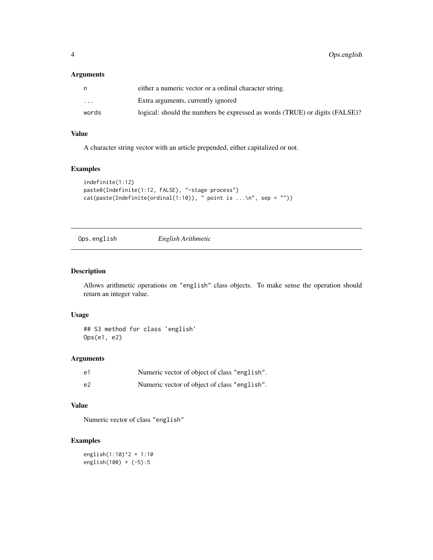#### <span id="page-3-0"></span>Arguments

|                         | either a numeric vector or a ordinal character string.                      |
|-------------------------|-----------------------------------------------------------------------------|
| $\cdot$ $\cdot$ $\cdot$ | Extra arguments, currently ignored                                          |
| words                   | logical: should the numbers be expressed as words (TRUE) or digits (FALSE)? |

#### Value

A character string vector with an article prepended, either capitalized or not.

#### Examples

```
indefinite(1:12)
paste0(Indefinite(1:12, FALSE), "-stage process")
cat(paste(Indefinite(ordinal(1:10)), " point is ... \n', sep = "")
```
Ops.english *English Arithmetic*

#### Description

Allows arithmetic operations on "english" class objects. To make sense the operation should return an integer value.

#### Usage

## S3 method for class 'english' Ops(e1, e2)

#### Arguments

| e1 | Numeric vector of object of class "english". |
|----|----------------------------------------------|
| e2 | Numeric vector of object of class "english". |

#### Value

Numeric vector of class "english"

#### Examples

```
english(1:10)^2 + 1:10
english(100) + (-5):5
```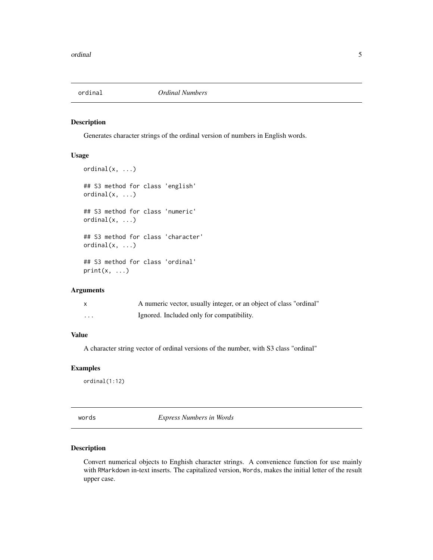<span id="page-4-0"></span>

#### Description

Generates character strings of the ordinal version of numbers in English words.

#### Usage

```
ordinal(x, \ldots)## S3 method for class 'english'
ordinal(x, ...)## S3 method for class 'numeric'
ordinal(x, ...)
## S3 method for class 'character'
ordinal(x, \ldots)## S3 method for class 'ordinal'
print(x, \ldots)
```
#### Arguments

|   | A numeric vector, usually integer, or an object of class "ordinal" |
|---|--------------------------------------------------------------------|
| . | Ignored. Included only for compatibility.                          |

#### Value

A character string vector of ordinal versions of the number, with S3 class "ordinal"

#### Examples

ordinal(1:12)

words *Express Numbers in Words*

#### Description

Convert numerical objects to Enghish character strings. A convenience function for use mainly with RMarkdown in-text inserts. The capitalized version, Words, makes the initial letter of the result upper case.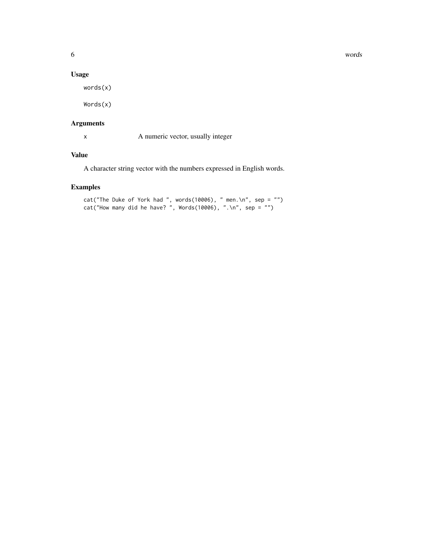#### **6** words **b** words **b** words **b** words **b** words **b** words **b** words **b** words **b** words **b** words **b** words **b** words **b** words **b** words **b** words **b** words **b** words **b** words **b** words **b** words **b** words **b** words **b**

#### Usage

words(x)

Words(x)

#### Arguments

x A numeric vector, usually integer

#### Value

A character string vector with the numbers expressed in English words.

#### Examples

```
cat("The Duke of York had ", words(10006), " men.\n", sep = "")
cat("How many did he have? ", Words(10006), ".\n", sep = "")
```